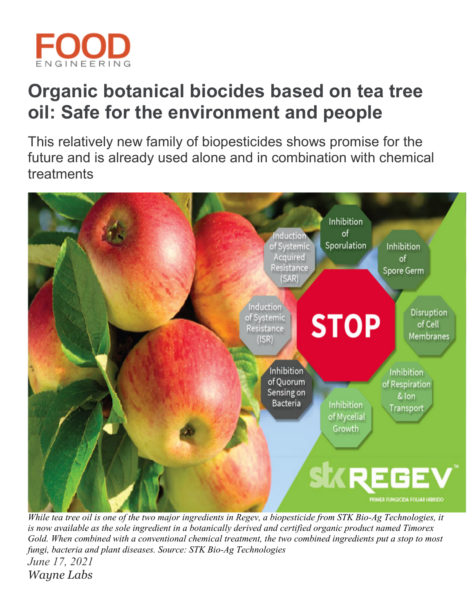

# **Organic botanical biocides based on tea tree oil: Safe for the environment and people**

This relatively new family of biopesticides shows promise for the future and is already used alone and in combination with chemical treatments



*While tea tree oil is one of the two major ingredients in Regev, a biopesticide from STK Bio-Ag Technologies, it is now available as the sole ingredient in a botanically derived and certified organic product named Timorex Gold. When combined with a conventional chemical treatment, the two combined ingredients put a stop to most fungi, bacteria and plant diseases. Source: STK Bio-Ag Technologies June 17, 2021 [Wayne Labs](https://www.foodengineeringmag.com/authors/1812-wayne-labs)*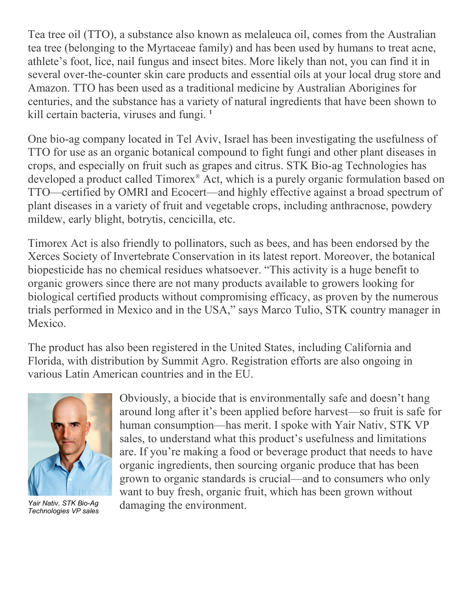Tea tree oil (TTO), a substance also known as melaleuca oil, comes from the Australian tea tree (belonging to the Myrtaceae family) and has been used by humans to treat acne, athlete's foot, lice, nail fungus and insect bites. More likely than not, you can find it in several over-the-counter skin care products and essential oils at your local drug store and Amazon. TTO has been used as a traditional medicine by Australian Aborigines for centuries, and the substance has a variety of natural ingredients that have been shown to kill certain bacteria, viruses and fungi. **<sup>1</sup>**

One bio-ag company located in Tel Aviv, Israel has been investigating the usefulness of TTO for use as an organic botanical compound to fight fungi and other plant diseases in crops, and especially on fruit such as grapes and citrus. STK Bio-ag Technologies has developed a product called Timorex® Act, which is a purely organic formulation based on TTO—certified by OMRI and Ecocert—and highly effective against a broad spectrum of plant diseases in a variety of fruit and vegetable crops, including anthracnose, powdery mildew, early blight, botrytis, cencicilla, etc.

Timorex Act is also friendly to pollinators, such as bees, and has been endorsed by the Xerces Society of Invertebrate Conservation in its latest report. Moreover, the botanical biopesticide has no chemical residues whatsoever. "This activity is a huge benefit to organic growers since there are not many products available to growers looking for biological certified products without compromising efficacy, as proven by the numerous trials performed in Mexico and in the USA," says Marco Tulio, STK country manager in Mexico.

The product has also been registered in the United States, including California and Florida, with distribution by Summit Agro. Registration efforts are also ongoing in various Latin American countries and in the EU.



*Technologies VP sales*

Obviously, a biocide that is environmentally safe and doesn't hang around long after it's been applied before harvest—so fruit is safe for human consumption—has merit. I spoke with Yair Nativ, STK VP sales, to understand what this product's usefulness and limitations are. If you're making a food or beverage product that needs to have organic ingredients, then sourcing organic produce that has been grown to organic standards is crucial—and to consumers who only want to buy fresh, organic fruit, which has been grown without damaging the environment. *Yair Nativ, STK Bio-Ag*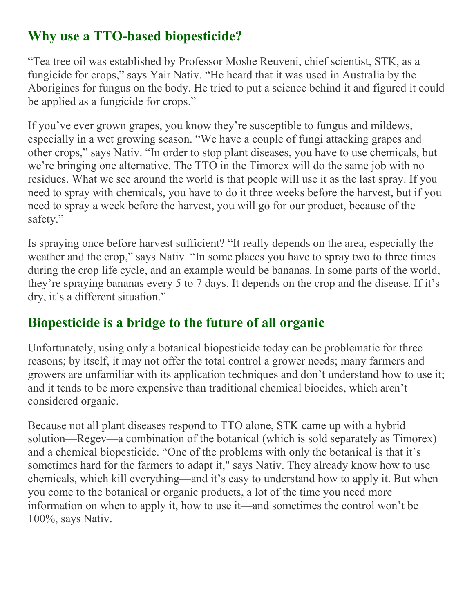### **Why use a TTO-based biopesticide?**

"Tea tree oil was established by Professor Moshe Reuveni, chief scientist, STK, as a fungicide for crops," says Yair Nativ. "He heard that it was used in Australia by the Aborigines for fungus on the body. He tried to put a science behind it and figured it could be applied as a fungicide for crops."

If you've ever grown grapes, you know they're susceptible to fungus and mildews, especially in a wet growing season. "We have a couple of fungi attacking grapes and other crops," says Nativ. "In order to stop plant diseases, you have to use chemicals, but we're bringing one alternative. The TTO in the Timorex will do the same job with no residues. What we see around the world is that people will use it as the last spray. If you need to spray with chemicals, you have to do it three weeks before the harvest, but if you need to spray a week before the harvest, you will go for our product, because of the safety."

Is spraying once before harvest sufficient? "It really depends on the area, especially the weather and the crop," says Nativ. "In some places you have to spray two to three times during the crop life cycle, and an example would be bananas. In some parts of the world, they're spraying bananas every 5 to 7 days. It depends on the crop and the disease. If it's dry, it's a different situation."

## **Biopesticide is a bridge to the future of all organic**

Unfortunately, using only a botanical biopesticide today can be problematic for three reasons; by itself, it may not offer the total control a grower needs; many farmers and growers are unfamiliar with its application techniques and don't understand how to use it; and it tends to be more expensive than traditional chemical biocides, which aren't considered organic.

Because not all plant diseases respond to TTO alone, STK came up with a hybrid solution—Regev—a combination of the botanical (which is sold separately as Timorex) and a chemical biopesticide. "One of the problems with only the botanical is that it's sometimes hard for the farmers to adapt it," says Nativ. They already know how to use chemicals, which kill everything—and it's easy to understand how to apply it. But when you come to the botanical or organic products, a lot of the time you need more information on when to apply it, how to use it—and sometimes the control won't be 100%, says Nativ.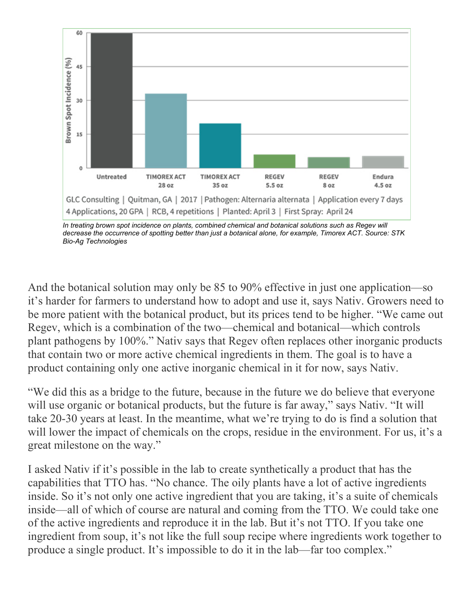

In treating brown spot incidence on plants, combined chemical and botanical solutions such as Regev will *decrease the occurrence of spotting better than just a botanical alone, for example, Timorex ACT. Source: STK Bio-Ag Technologies*

And the botanical solution may only be 85 to 90% effective in just one application—so it's harder for farmers to understand how to adopt and use it, says Nativ. Growers need to be more patient with the botanical product, but its prices tend to be higher. "We came out Regev, which is a combination of the two—chemical and botanical—which controls plant pathogens by 100%." Nativ says that Regev often replaces other inorganic products that contain two or more active chemical ingredients in them. The goal is to have a product containing only one active inorganic chemical in it for now, says Nativ.

"We did this as a bridge to the future, because in the future we do believe that everyone will use organic or botanical products, but the future is far away," says Nativ. "It will take 20-30 years at least. In the meantime, what we're trying to do is find a solution that will lower the impact of chemicals on the crops, residue in the environment. For us, it's a great milestone on the way."

I asked Nativ if it's possible in the lab to create synthetically a product that has the capabilities that TTO has. "No chance. The oily plants have a lot of active ingredients inside. So it's not only one active ingredient that you are taking, it's a suite of chemicals inside—all of which of course are natural and coming from the TTO. We could take one of the active ingredients and reproduce it in the lab. But it's not TTO. If you take one ingredient from soup, it's not like the full soup recipe where ingredients work together to produce a single product. It's impossible to do it in the lab—far too complex."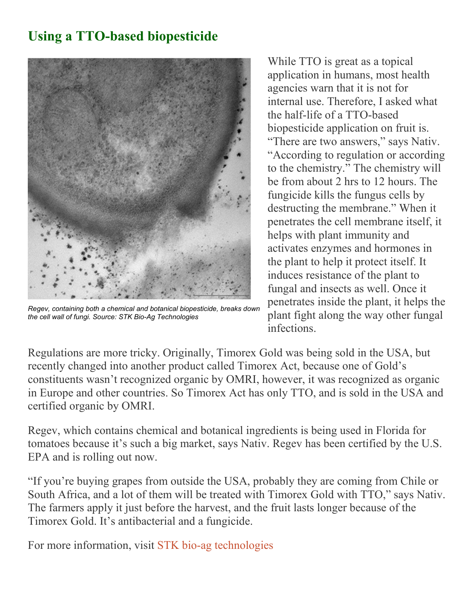### **Using a TTO-based biopesticide**



*Regev, containing both a chemical and botanical biopesticide, breaks down the cell wall of fungi. Source: STK Bio-Ag Technologies*

While TTO is great as a topical application in humans, most health agencies warn that it is not for internal use. Therefore, I asked what the half-life of a TTO-based biopesticide application on fruit is.

"There are two answers," says Nativ. "According to regulation or according to the chemistry." The chemistry will be from about 2 hrs to 12 hours. The fungicide kills the fungus cells by destructing the membrane." When it penetrates the cell membrane itself, it helps with plant immunity and activates enzymes and hormones in the plant to help it protect itself. It induces resistance of the plant to fungal and insects as well. Once it penetrates inside the plant, it helps the plant fight along the way other fungal infections.

Regulations are more tricky. Originally, Timorex Gold was being sold in the USA, but recently changed into another product called Timorex Act, because one of Gold's constituents wasn't recognized organic by OMRI, however, it was recognized as organic in Europe and other countries. So Timorex Act has only TTO, and is sold in the USA and certified organic by OMRI.

Regev, which contains chemical and botanical ingredients is being used in Florida for tomatoes because it's such a big market, says Nativ. Regev has been certified by the U.S. EPA and is rolling out now.

"If you're buying grapes from outside the USA, probably they are coming from Chile or South Africa, and a lot of them will be treated with Timorex Gold with TTO," says Nativ. The farmers apply it just before the harvest, and the fruit lasts longer because of the Timorex Gold. It's antibacterial and a fungicide.

For more information, visit [STK bio-ag technologies](https://stk-ag.com/)